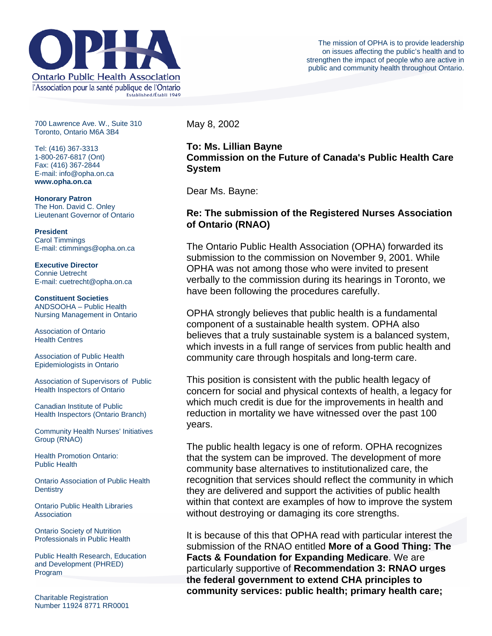

700 Lawrence Ave. W., Suite 310 Toronto, Ontario M6A 3B4

Tel: (416) 367-3313 1-800-267-6817 (Ont) Fax: (416) 367-2844 E-mail: info@opha.on.ca **www.opha.on.ca** 

**Honorary Patron**  The Hon. David C. Onley Lieutenant Governor of Ontario

**President**  Carol Timmings E-mail: ctimmings@opha.on.ca

**Executive Director**  Connie Uetrecht E-mail: cuetrecht@opha.on.ca

**Constituent Societies**  ANDSOOHA – Public Health Nursing Management in Ontario

Association of Ontario Health Centres

Association of Public Health Epidemiologists in Ontario

Association of Supervisors of Public Health Inspectors of Ontario

Canadian Institute of Public Health Inspectors (Ontario Branch)

Community Health Nurses' Initiatives Group (RNAO)

Health Promotion Ontario: Public Health

Ontario Association of Public Health **Dentistry** 

Ontario Public Health Libraries Association

Ontario Society of Nutrition Professionals in Public Health

Public Health Research, Education and Development (PHRED) Program

Charitable Registration Number 11924 8771 RR0001 May 8, 2002

## **To: Ms. Lillian Bayne Commission on the Future of Canada's Public Health Care System**

Dear Ms. Bayne:

## **Re: The submission of the Registered Nurses Association of Ontario (RNAO)**

The Ontario Public Health Association (OPHA) forwarded its submission to the commission on November 9, 2001. While OPHA was not among those who were invited to present verbally to the commission during its hearings in Toronto, we have been following the procedures carefully.

OPHA strongly believes that public health is a fundamental component of a sustainable health system. OPHA also believes that a truly sustainable system is a balanced system, which invests in a full range of services from public health and community care through hospitals and long-term care.

This position is consistent with the public health legacy of concern for social and physical contexts of health, a legacy for which much credit is due for the improvements in health and reduction in mortality we have witnessed over the past 100 years.

The public health legacy is one of reform. OPHA recognizes that the system can be improved. The development of more community base alternatives to institutionalized care, the recognition that services should reflect the community in which they are delivered and support the activities of public health within that context are examples of how to improve the system without destroying or damaging its core strengths.

It is because of this that OPHA read with particular interest the submission of the RNAO entitled **More of a Good Thing: The Facts & Foundation for Expanding Medicare**. We are particularly supportive of **Recommendation 3: RNAO urges the federal government to extend CHA principles to community services: public health; primary health care;**